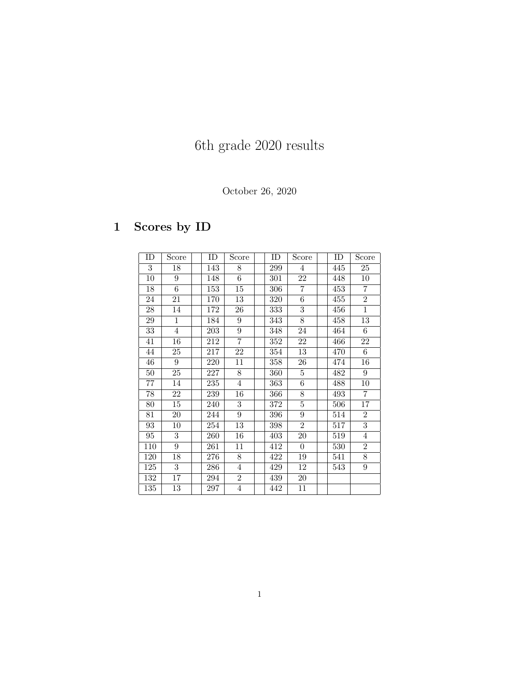# 6th grade 2020 results

#### October 26, 2020

## 1 Scores by ID

| ID  | Score          | ID  | Score            | ID  | Score           | ID  | Score            |
|-----|----------------|-----|------------------|-----|-----------------|-----|------------------|
| 3   | 18             | 143 | 8                | 299 | $\overline{4}$  | 445 | 25               |
| 10  | 9              | 148 | 6                | 301 | 22              | 448 | 10               |
| 18  | $\overline{6}$ | 153 | 15               | 306 | $\overline{7}$  | 453 | 7                |
| 24  | 21             | 170 | 13               | 320 | $\overline{6}$  | 455 | $\overline{2}$   |
| 28  | 14             | 172 | 26               | 333 | 3               | 456 | $\mathbf{1}$     |
| 29  | $\mathbf{1}$   | 184 | $\boldsymbol{9}$ | 343 | 8               | 458 | 13               |
| 33  | $\overline{4}$ | 203 | 9                | 348 | 24              | 464 | 6                |
| 41  | 16             | 212 | $\overline{7}$   | 352 | 22              | 466 | 22               |
| 44  | 25             | 217 | 22               | 354 | 13              | 470 | 6                |
| 46  | 9              | 220 | 11               | 358 | 26              | 474 | 16               |
| 50  | 25             | 227 | 8                | 360 | $\overline{5}$  | 482 | $9\phantom{.0}$  |
| 77  | 14             | 235 | $\overline{4}$   | 363 | $6\phantom{.0}$ | 488 | 10               |
| 78  | 22             | 239 | 16               | 366 | 8               | 493 | $\overline{7}$   |
| 80  | 15             | 240 | $\overline{3}$   | 372 | $\overline{5}$  | 506 | 17               |
| 81  | 20             | 244 | $\overline{9}$   | 396 | 9               | 514 | $\overline{2}$   |
| 93  | $10\,$         | 254 | 13               | 398 | $\overline{2}$  | 517 | $\overline{3}$   |
| 95  | 3              | 260 | 16               | 403 | 20              | 519 | 4                |
| 110 | 9              | 261 | 11               | 412 | $\overline{0}$  | 530 | $\overline{2}$   |
| 120 | 18             | 276 | $\overline{8}$   | 422 | 19              | 541 | $\overline{8}$   |
| 125 | $\overline{3}$ | 286 | 4                | 429 | 12              | 543 | $\boldsymbol{9}$ |
| 132 | 17             | 294 | $\overline{2}$   | 439 | 20              |     |                  |
| 135 | 13             | 297 | $\overline{4}$   | 442 | 11              |     |                  |